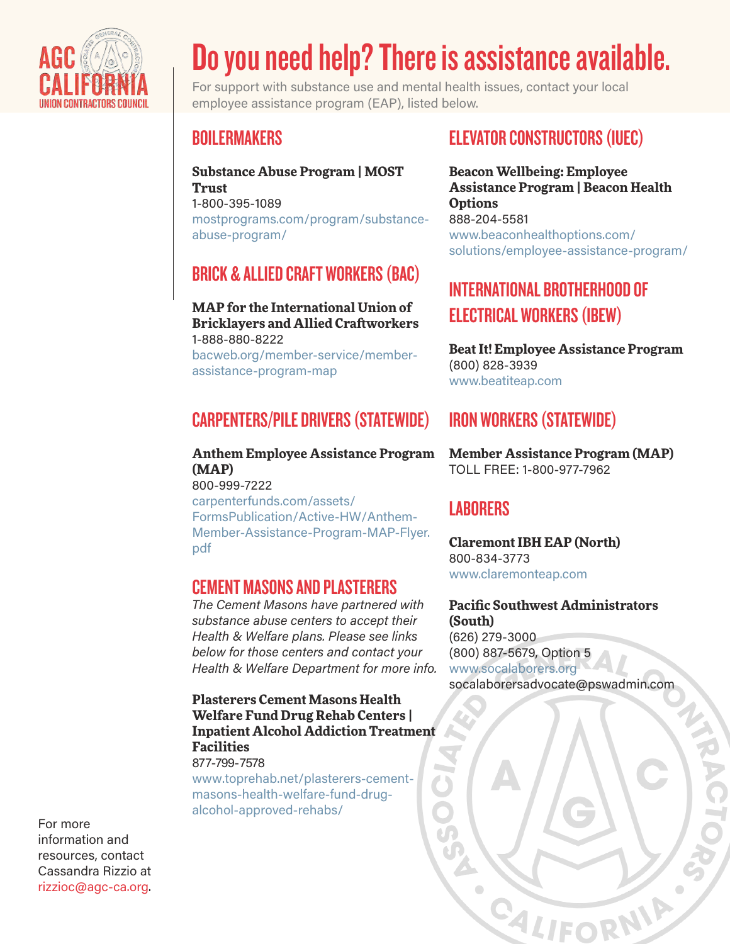

# Do you need help? There is assistance available.

For support with substance use and mental health issues, contact your local employee assistance program (EAP), listed below.

## **BOILERMAKERS**

**Substance Abuse Program | MOST Trust** 1-800-395-1089 [mostprograms.com/program/substance](https://mostprograms.com/program/substance-abuse-program/)abuse-program/

## BRICK & ALLIED CRAFT WORKERS (BAC)

**MAP for the International Union of Bricklayers and Allied Craftworkers** 1-888-880-8222 [bacweb.org/member-service/member](https://bacweb.org/member-service/member-assistance-program-map)assistance-program-map

# CARPENTERS/PILE DRIVERS (STATEWIDE)

**Anthem Employee Assistance Program (MAP)** 800-999-7222 carpenterfunds.com/assets/ FormsPublication/Active-HW/Anthem-[Member-Assistance-Program-MAP-Flyer.](https://carpenterfunds.com/assets/FormsPublication/Active-HW/Anthem-Member-Assistance-Program-MAP-Flyer.%20pdf) pdf

#### CEMENT MASONS AND PLASTERERS

*The Cement Masons have partnered with substance abuse centers to accept their Health & Welfare plans. Please see links below for those centers and contact your Health & Welfare Department for more info.*

**Plasterers Cement Masons Health Welfare Fund Drug Rehab Centers | Inpatient Alcohol Addiction Treatment Facilities** 877-799-7578

www.toprehab.net/plasterers-cement[masons-health-welfare-fund-drug](https://www.toprehab.net/plasterers-cement-masons-health-welfare-fund-drug-alcohol-approved-rehabs/)alcohol-approved-rehabs/

## ELEVATOR CONSTRUCTORS (IUEC)

**Beacon Wellbeing: Employee Assistance Program | Beacon Health Options** 888-204-5581 www.beaconhealthoptions.com/ [solutions/employee-assistance-program/](https://www.beaconhealthoptions.com/solutions/employee-assistance-program/)

# INTERNATIONAL BROTHERHOOD OF ELECTRICAL WORKERS (IBEW)

**Beat It! Employee Assistance Program** (800) 828-3939 [www.beatiteap.com](https://www.beatiteap.com/)

# IRON WORKERS (STATEWIDE)

**Member Assistance Program (MAP)** TOLL FREE: 1-800-977-7962

## **LABORERS**

**Claremont IBH EAP (North)** 800-834-3773 [www.claremonteap.com](https://www.claremonteap.com/)

**Pacific Southwest Administrators (South)** (626) 279-3000 (800) 887-5679, Option 5 <www.socalaborers.org> socalaborersadvocate@pswadmin.com

**EXITEDRAL** 

SC

For more information and resources, contact Cassandra Rizzio at rizzioc@agc-ca.org.